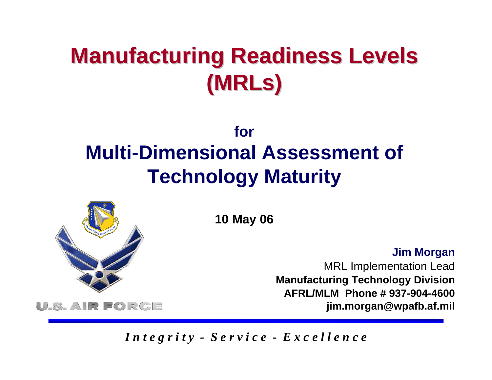## **Manufacturing Readiness Levels (MRLs )**

### **forMulti-Dimensional Assessment of Technology Maturity**



**10 May 06**

**Jim Morgan**

MRL Implementation Lead **Manufacturing Technology Division AFRL/MLM Phone # 937-904-4600jim.morgan@wpafb.af.mil**

*I n t e g r i t y - S e r v i c e - E x c e l l e n c e*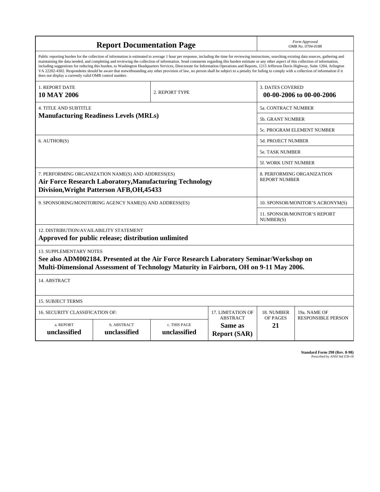| <b>Report Documentation Page</b>                                                                                                                                                                                                                                                                                                                                                                                                                                                                                                                                                                                                                                                                                                                                                                                                                                   |                             |                                                                                   |                                           | Form Approved<br>OMB No. 0704-0188                  |                           |  |
|--------------------------------------------------------------------------------------------------------------------------------------------------------------------------------------------------------------------------------------------------------------------------------------------------------------------------------------------------------------------------------------------------------------------------------------------------------------------------------------------------------------------------------------------------------------------------------------------------------------------------------------------------------------------------------------------------------------------------------------------------------------------------------------------------------------------------------------------------------------------|-----------------------------|-----------------------------------------------------------------------------------|-------------------------------------------|-----------------------------------------------------|---------------------------|--|
| Public reporting burden for the collection of information is estimated to average 1 hour per response, including the time for reviewing instructions, searching existing data sources, gathering and<br>maintaining the data needed, and completing and reviewing the collection of information. Send comments regarding this burden estimate or any other aspect of this collection of information,<br>including suggestions for reducing this burden, to Washington Headquarters Services, Directorate for Information Operations and Reports, 1215 Jefferson Davis Highway, Suite 1204, Arlington<br>VA 22202-4302. Respondents should be aware that notwithstanding any other provision of law, no person shall be subject to a penalty for failing to comply with a collection of information if it<br>does not display a currently valid OMB control number. |                             |                                                                                   |                                           |                                                     |                           |  |
| 1. REPORT DATE<br><b>10 MAY 2006</b>                                                                                                                                                                                                                                                                                                                                                                                                                                                                                                                                                                                                                                                                                                                                                                                                                               | 2. REPORT TYPE              |                                                                                   |                                           | <b>3. DATES COVERED</b><br>00-00-2006 to 00-00-2006 |                           |  |
| <b>4. TITLE AND SUBTITLE</b><br>5a. CONTRACT NUMBER                                                                                                                                                                                                                                                                                                                                                                                                                                                                                                                                                                                                                                                                                                                                                                                                                |                             |                                                                                   |                                           |                                                     |                           |  |
| <b>Manufacturing Readiness Levels (MRLs)</b>                                                                                                                                                                                                                                                                                                                                                                                                                                                                                                                                                                                                                                                                                                                                                                                                                       |                             |                                                                                   | 5b. GRANT NUMBER                          |                                                     |                           |  |
|                                                                                                                                                                                                                                                                                                                                                                                                                                                                                                                                                                                                                                                                                                                                                                                                                                                                    |                             |                                                                                   |                                           | <b>5c. PROGRAM ELEMENT NUMBER</b>                   |                           |  |
| 6. AUTHOR(S)                                                                                                                                                                                                                                                                                                                                                                                                                                                                                                                                                                                                                                                                                                                                                                                                                                                       |                             |                                                                                   |                                           | <b>5d. PROJECT NUMBER</b>                           |                           |  |
|                                                                                                                                                                                                                                                                                                                                                                                                                                                                                                                                                                                                                                                                                                                                                                                                                                                                    |                             |                                                                                   |                                           | <b>5e. TASK NUMBER</b>                              |                           |  |
|                                                                                                                                                                                                                                                                                                                                                                                                                                                                                                                                                                                                                                                                                                                                                                                                                                                                    |                             |                                                                                   |                                           | 5f. WORK UNIT NUMBER                                |                           |  |
| 7. PERFORMING ORGANIZATION NAME(S) AND ADDRESS(ES)<br>8. PERFORMING ORGANIZATION<br><b>REPORT NUMBER</b><br><b>Air Force Research Laboratory, Manufacturing Technology</b><br>Division, Wright Patterson AFB, OH, 45433                                                                                                                                                                                                                                                                                                                                                                                                                                                                                                                                                                                                                                            |                             |                                                                                   |                                           |                                                     |                           |  |
| 9. SPONSORING/MONITORING AGENCY NAME(S) AND ADDRESS(ES)                                                                                                                                                                                                                                                                                                                                                                                                                                                                                                                                                                                                                                                                                                                                                                                                            |                             |                                                                                   |                                           | 10. SPONSOR/MONITOR'S ACRONYM(S)                    |                           |  |
|                                                                                                                                                                                                                                                                                                                                                                                                                                                                                                                                                                                                                                                                                                                                                                                                                                                                    |                             |                                                                                   | 11. SPONSOR/MONITOR'S REPORT<br>NUMBER(S) |                                                     |                           |  |
| 12. DISTRIBUTION/AVAILABILITY STATEMENT<br>Approved for public release; distribution unlimited                                                                                                                                                                                                                                                                                                                                                                                                                                                                                                                                                                                                                                                                                                                                                                     |                             |                                                                                   |                                           |                                                     |                           |  |
| <b>13. SUPPLEMENTARY NOTES</b><br>See also ADM002184. Presented at the Air Force Research Laboratory Seminar/Workshop on<br>Multi-Dimensional Assessment of Technology Maturity in Fairborn, OH on 9-11 May 2006.                                                                                                                                                                                                                                                                                                                                                                                                                                                                                                                                                                                                                                                  |                             |                                                                                   |                                           |                                                     |                           |  |
| 14. ABSTRACT                                                                                                                                                                                                                                                                                                                                                                                                                                                                                                                                                                                                                                                                                                                                                                                                                                                       |                             |                                                                                   |                                           |                                                     |                           |  |
| <b>15. SUBJECT TERMS</b>                                                                                                                                                                                                                                                                                                                                                                                                                                                                                                                                                                                                                                                                                                                                                                                                                                           |                             |                                                                                   |                                           |                                                     |                           |  |
| 16. SECURITY CLASSIFICATION OF:                                                                                                                                                                                                                                                                                                                                                                                                                                                                                                                                                                                                                                                                                                                                                                                                                                    | 17. LIMITATION OF           | 18. NUMBER                                                                        | 19a. NAME OF                              |                                                     |                           |  |
| a. REPORT<br>unclassified                                                                                                                                                                                                                                                                                                                                                                                                                                                                                                                                                                                                                                                                                                                                                                                                                                          | b. ABSTRACT<br>unclassified | <b>ABSTRACT</b><br>c. THIS PAGE<br>Same as<br>unclassified<br><b>Report (SAR)</b> |                                           | OF PAGES<br>21                                      | <b>RESPONSIBLE PERSON</b> |  |

**Standard Form 298 (Rev. 8-98)**<br>Prescribed by ANSI Std Z39-18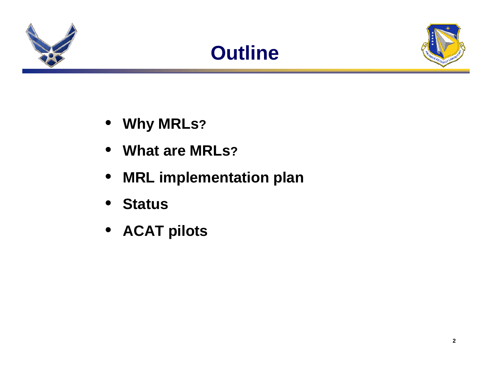





- **Why MRLs?**
- **What are MRLs?**
- $\bullet$ **MRL implementation plan**
- $\bullet$ **Status**
- **ACAT pilots**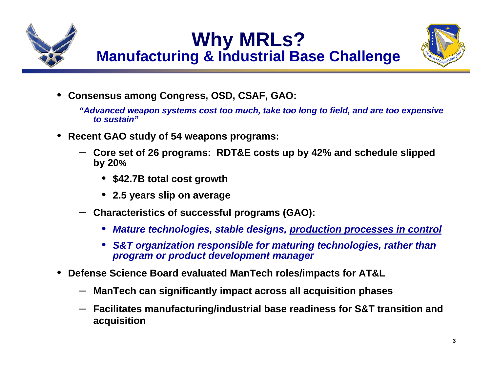



•**Consensus among Congress, OSD, CSAF, GAO:**

*"Advanced weapon systems cost too much, take too long to field, and are too expensive to sustain"*

- • **Recent GAO study of 54 weapons programs:**
	- **Core set of 26 programs: RDT&E costs up by 42% and schedule slipped by 20%**
		- **\$42.7B total cost growth**
		- **2.5 years slip on average**
	- **Characteristics of successful programs (GAO):**
		- *Mature technologies, stable designs, production processes in control*
		- *S&T organization responsible for maturing technologies, rather than program or product development manager*
- • **Defense Science Board evaluated ManTech roles/impacts for AT&L**
	- **ManTech can significantly impact across all acquisition phases**
	- **Facilitates manufacturing/industrial base readiness for S&T transition and acquisition**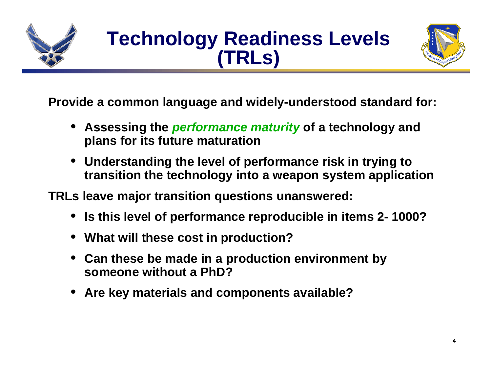

### **Technology Readiness Levels (TRLs)**



**Provide a common language and widely-understood standard for:** 

- **Assessing the** *performance maturity* **of a technology and plans for its future maturation**
- **Understanding the level of performance risk in trying to transition the technology into a weapon system application**

**TRLs leave major transition questions unanswered:**

- •**Is this level of performance reproducible in items 2- 1000?**
- **What will these cost in production?**
- **Can these be made in a production environment by someone without a PhD?**
- •**Are key materials and components available?**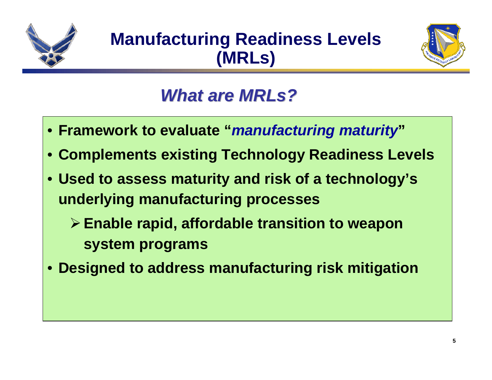



### *What are MRLs? What are MRLs?*

- **Framework to evaluate "***manufacturing maturity***"**
- **Complements existing Technology Readiness Levels**
- **Used to assess maturity and risk of a technology's underlying manufacturing processes**
	- **Enable rapid, affordable transition to weapon system programs**
- **Designed to address manufacturing risk mitigation**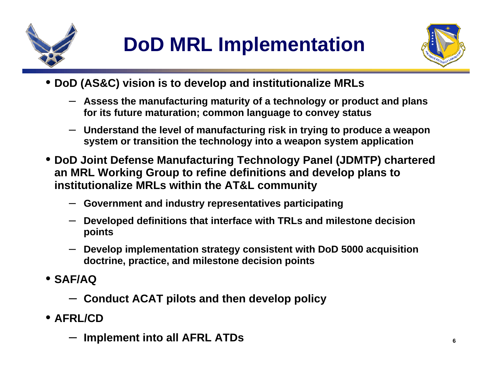



- **DoD (AS&C) vision is to develop and institutionalize MRLs**
	- **Assess the manufacturing maturity of a technology or product and plans for its future maturation; common language to convey status**
	- **Understand the level of manufacturing risk in trying to produce a weapon system or transition the technology into a weapon system application**
- **DoD Joint Defense Manufacturing Technology Panel (JDMTP) chartered an MRL Working Group to refine definitions and develop plans to institutionalize MRLs within the AT&L community** 
	- **Government and industry representatives participating**
	- **Developed definitions that interface with TRLs and milestone decision points**
	- **Develop implementation strategy consistent with DoD 5000 acquisition doctrine, practice, and milestone decision points**
- **SAF/AQ**
	- **Conduct ACAT pilots and then develop policy**
- **AFRL/CD**
	- **Implement into all AFRL ATDs**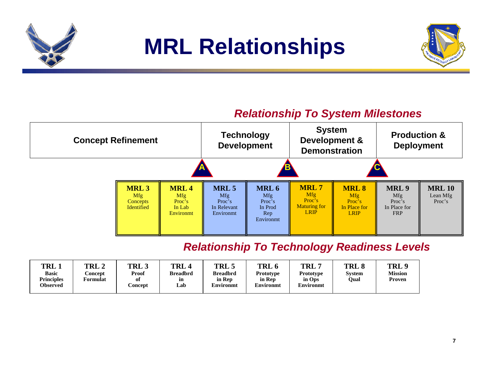

### **MRL Relationships**



#### *Relationship To System Milestones*



#### *Relationship To Technology Readiness Levels*

| TRL .             | TRL 2    | TRL 3          | TRL             | TRL:            | TRL 6     | <b>TRL</b>       | <b>TRL</b> | TRL 9          |
|-------------------|----------|----------------|-----------------|-----------------|-----------|------------------|------------|----------------|
| <b>Basic</b>      | .`oncept | Proof          | <b>Breadbrd</b> | <b>Breadbrd</b> | Prototype | <b>Prototype</b> | Svstem     | <b>Mission</b> |
| <b>Principles</b> | Formulat | ot             | ın              | in Rep          | in Rep    | in Ops           | Oual       | Proven         |
| <b>Observed</b>   |          | <b>Concept</b> | Lab             | Environmt       | Environmt | Environmt        |            |                |
|                   |          |                |                 |                 |           |                  |            |                |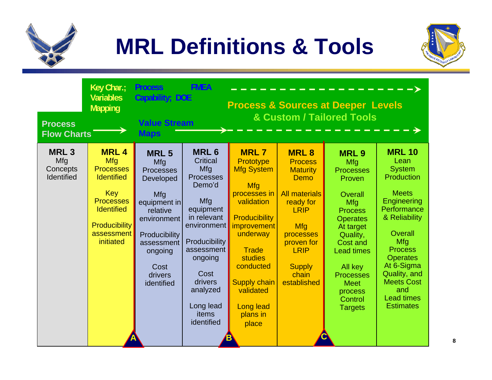

# **MRL Definitions & Tools**



| <b>Process</b><br><b>Flow Charts</b>                | Key Char.;<br><b>Variables</b><br><b>Mapping</b>                                                                                                                             | <b>Process</b><br>Capability; DOE<br><b>Value Stream</b><br><b>Maps</b>                                                                                                          | <b>FMEA</b>                                                                                                                                                                                                                 |                                                                                                                                                                                                                                                                   |                                                                                                                                                                                                               | <b>Process &amp; Sources at Deeper Levels</b><br><b>&amp; Custom / Tailored Tools</b>                                                                                                                                                                   |                                                                                                                                                                                                                                                                                      |
|-----------------------------------------------------|------------------------------------------------------------------------------------------------------------------------------------------------------------------------------|----------------------------------------------------------------------------------------------------------------------------------------------------------------------------------|-----------------------------------------------------------------------------------------------------------------------------------------------------------------------------------------------------------------------------|-------------------------------------------------------------------------------------------------------------------------------------------------------------------------------------------------------------------------------------------------------------------|---------------------------------------------------------------------------------------------------------------------------------------------------------------------------------------------------------------|---------------------------------------------------------------------------------------------------------------------------------------------------------------------------------------------------------------------------------------------------------|--------------------------------------------------------------------------------------------------------------------------------------------------------------------------------------------------------------------------------------------------------------------------------------|
| <b>MRL3</b><br>Mfg<br>Concepts<br><b>Identified</b> | <b>MRL4</b><br><b>Mfg</b><br><b>Processes</b><br><b>Identified</b><br><b>Key</b><br><b>Processes</b><br><b>Identified</b><br><b>Producibility</b><br>assessment<br>initiated | <b>MRL5</b><br>Mfg<br><b>Processes</b><br>Developed<br>Mfg<br>equipment in<br>relative<br>environment<br>Producibility<br>assessment<br>ongoing<br>Cost<br>drivers<br>identified | <b>MRL6</b><br>Critical<br>Mfg<br><b>Processes</b><br>Demo'd<br>Mfg<br>equipment<br>in relevant<br>environment<br>Producibility<br>assessment<br>ongoing<br>Cost<br>drivers<br>analyzed<br>Long lead<br>items<br>identified | <b>MRL7</b><br>Prototype<br><b>Mfg System</b><br>Mfg<br>processes in<br>validation<br><b>Producibility</b><br><i>improvement</i><br>underway<br><b>Trade</b><br>studies<br>conducted<br><b>Supply chain</b><br>validated<br><b>Long lead</b><br>plans in<br>place | <b>MRL8</b><br><b>Process</b><br><b>Maturity</b><br><b>Demo</b><br><b>All materials</b><br>ready for<br><b>LRIP</b><br>Mfg<br>processes<br>proven for<br><b>LRIP</b><br><b>Supply</b><br>chain<br>established | <b>MRL9</b><br>Mfg<br><b>Processes</b><br>Proven<br>Overall<br>Mfg<br><b>Process</b><br><b>Operates</b><br>At target<br>Quality,<br>Cost and<br><b>Lead times</b><br>All key<br><b>Processes</b><br><b>Meet</b><br>process<br>Control<br><b>Targets</b> | <b>MRL 10</b><br>Lean<br><b>System</b><br>Production<br><b>Meets</b><br><b>Engineering</b><br>Performance<br>& Reliability<br>Overall<br>Mfg<br><b>Process</b><br><b>Operates</b><br>At 6-Sigma<br>Quality, and<br><b>Meets Cost</b><br>and<br><b>Lead times</b><br><b>Estimates</b> |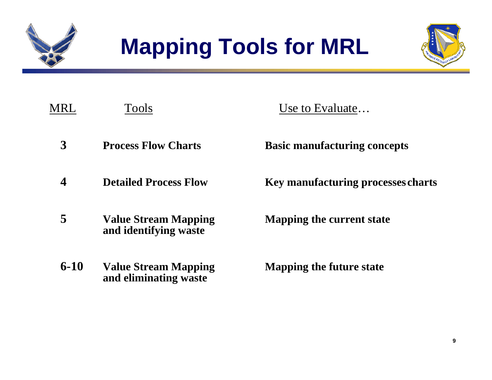



| MRL      | <b>Tools</b>                                         | Use to Evaluate                           |
|----------|------------------------------------------------------|-------------------------------------------|
| 3        | <b>Process Flow Charts</b>                           | <b>Basic manufacturing concepts</b>       |
| 4        | <b>Detailed Process Flow</b>                         | <b>Key manufacturing processes charts</b> |
| 5        | <b>Value Stream Mapping</b><br>and identifying waste | Mapping the current state                 |
| $6 - 10$ | <b>Value Stream Mapping</b><br>and eliminating waste | <b>Mapping the future state</b>           |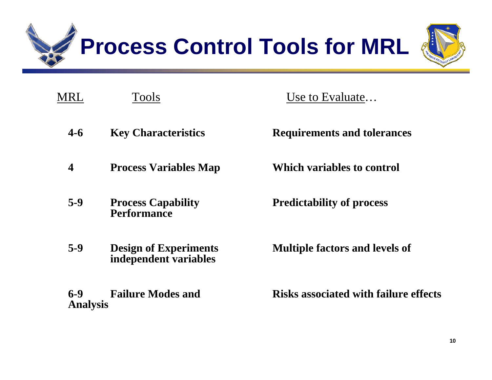

| MRL                      | <b>Tools</b>                                          | Use to Evaluate                              |
|--------------------------|-------------------------------------------------------|----------------------------------------------|
| $4 - 6$                  | <b>Key Characteristics</b>                            | <b>Requirements and tolerances</b>           |
| 4                        | <b>Process Variables Map</b>                          | Which variables to control                   |
| $5-9$                    | <b>Process Capability</b><br><b>Performance</b>       | <b>Predictability of process</b>             |
| $5-9$                    | <b>Design of Experiments</b><br>independent variables | <b>Multiple factors and levels of</b>        |
| $6-9$<br><b>Analysis</b> | <b>Failure Modes and</b>                              | <b>Risks associated with failure effects</b> |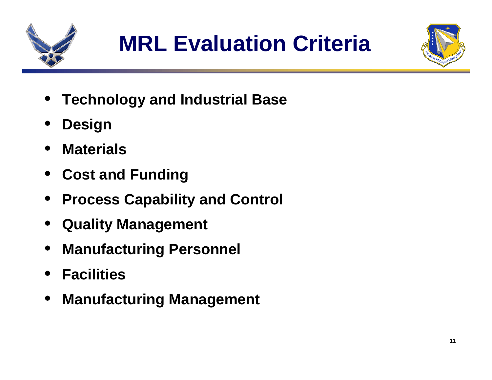



- •**Technology and Industrial Base**
- •**Design**
- •**Materials**
- **Cost and Funding**
- **Process Capability and Control**
- •**Quality Management**
- **Manufacturing Personnel**
- **Facilities**
- $\bullet$ **Manufacturing Management**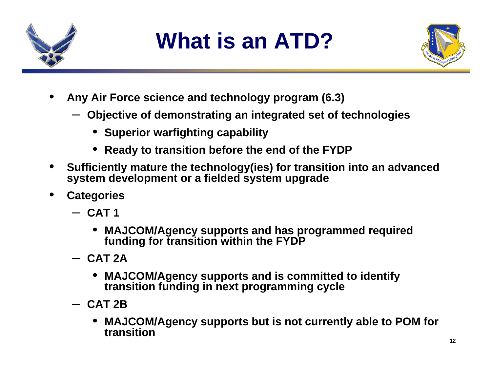

# **What is an ATD?**



- • **Any Air Force science and technology program (6.3)**
	- **Objective of demonstrating an integrated set of technologies**
		- **Superior warfighting capability**
		- **Ready to transition before the end of the FYDP**
- • **Sufficiently mature the technology(ies) for transition into an advanced system development or a fielded system upgrade**
- • **Categories**
	- **CAT 1**
		- **MAJCOM/Agency supports and has programmed required funding for transition within the FYDP**
	- **CAT 2A**
		- $\bullet$  **MAJCOM/Agency supports and is committed to identify transition funding in next programming cycle**
	- **CAT 2B**
		- $\bullet$  **MAJCOM/Agency supports but is not currently able to POM for transition**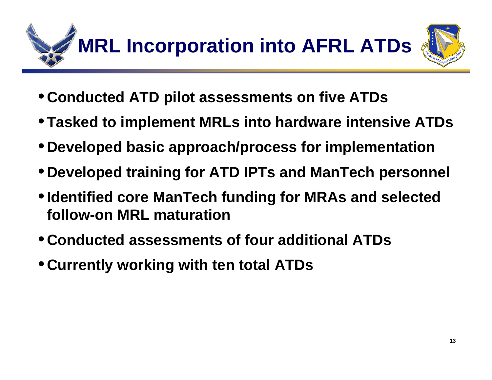

- **Conducted ATD pilot assessments on five ATDs**
- •**Tasked to implement MRLs into hardware intensive ATDs**
- **Developed basic approach/process for implementation**
- **Developed training for ATD IPTs and ManTech personnel**
- •**Identified core ManTech funding for MRAs and selected follow-on MRL maturation**
- **Conducted assessments of four additional ATDs**
- **Currently working with ten total ATDs**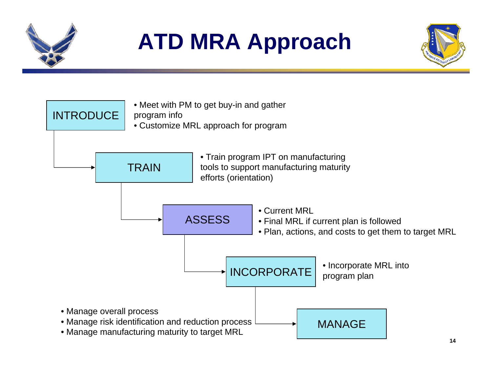

# **ATD MRA Approach**



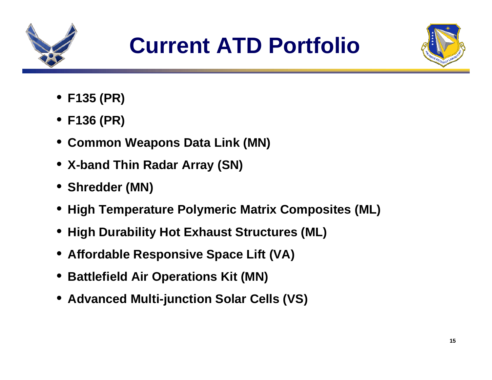

![](_page_15_Picture_2.jpeg)

- **F135 (PR)**
- **F136 (PR)**
- **Common Weapons Data Link (MN)**
- **X-band Thin Radar Array (SN)**
- **Shredder (MN)**
- **High Temperature Polymeric Matrix Composites (ML)**
- **High Durability Hot Exhaust Structures (ML)**
- **Affordable Responsive Space Lift (VA)**
- **Battlefield Air Operations Kit (MN)**
- **Advanced Multi-junction Solar Cells (VS)**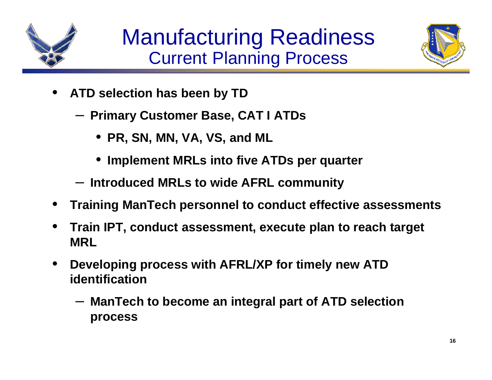![](_page_16_Picture_0.jpeg)

![](_page_16_Picture_2.jpeg)

- • **ATD selection has been by TD**
	- **Primary Customer Base, CAT I ATDs**
		- **PR, SN, MN, VA, VS, and ML**
		- **Implement MRLs into five ATDs per quarter**
	- **Introduced MRLs to wide AFRL community**
- •**Training ManTech personnel to conduct effective assessments**
- $\bullet$  **Train IPT, conduct assessment, execute plan to reach target MRL**
- $\bullet$  **Developing process with AFRL/XP for timely new ATD identification**
	- **ManTech to become an integral part of ATD selection process**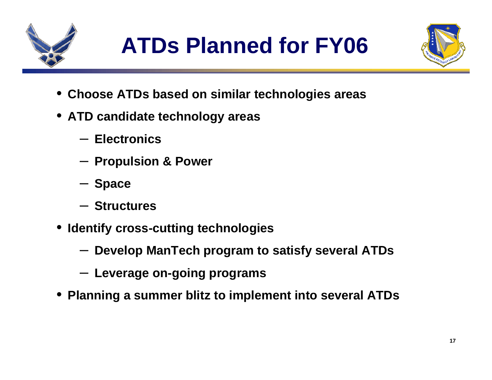![](_page_17_Picture_0.jpeg)

# **ATDs Planned for FY06**

![](_page_17_Picture_2.jpeg)

- •**Choose ATDs based on similar technologies areas**
- **ATD candidate technology areas**
	- **Electronics**
	- **Propulsion & Power**
	- **Space**
	- **Structures**
- • **Identify cross-cutting technologies**
	- **Develop ManTech program to satisfy several ATDs**
	- **Leverage on-going programs**
- **Planning a summer blitz to implement into several ATDs**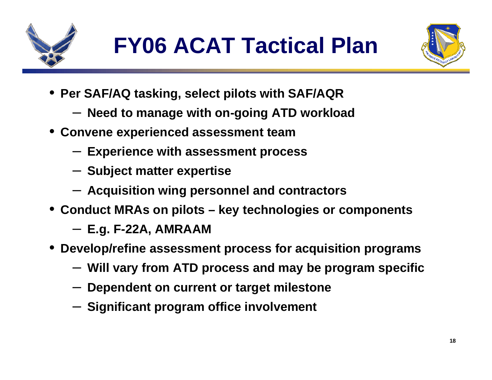![](_page_18_Picture_0.jpeg)

![](_page_18_Picture_2.jpeg)

- **Per SAF/AQ tasking, select pilots with SAF/AQR**
	- **Need to manage with on-going ATD workload**
- **Convene experienced assessment team**
	- **Experience with assessment process**
	- **Subject matter expertise**
	- **Acquisition wing personnel and contractors**
- **Conduct MRAs on pilots – key technologies or components**
	- **E.g. F-22A, AMRAAM**
- **Develop/refine assessment process for acquisition programs**
	- **Will vary from ATD process and may be program specific**
	- **Dependent on current or target milestone**
	- **Significant program office involvement**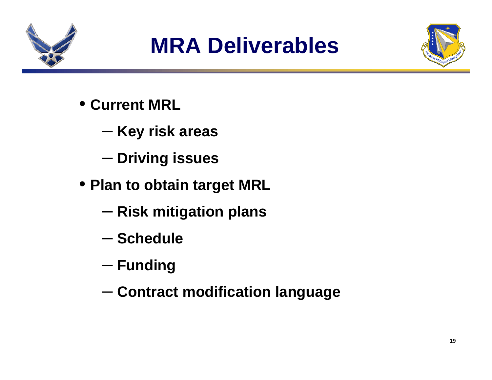![](_page_19_Picture_0.jpeg)

## **MRA Deliverables**

![](_page_19_Picture_2.jpeg)

- **Current MRL**
	- –**Key risk areas**
	- –**Driving issues**
- **Plan to obtain target MRL**
	- –**Risk mitigation plans**
	- **Schedule**
	- – $-$  Funding
	- –**Contract modification language**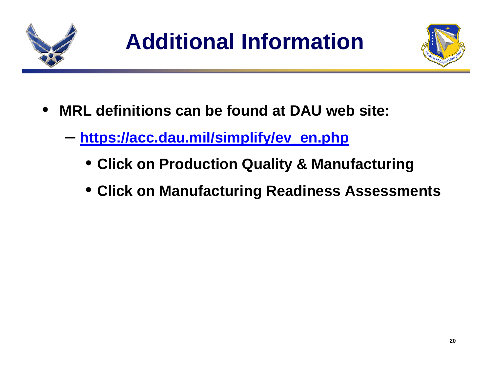![](_page_20_Picture_0.jpeg)

![](_page_20_Picture_2.jpeg)

- **MRL definitions can be found at DAU web site:**
	- – **https://acc.dau.mil/simplify/ev\_en.php**
		- **Click on Production Quality & Manufacturing**
		- **Click on Manufacturing Readiness Assessments**